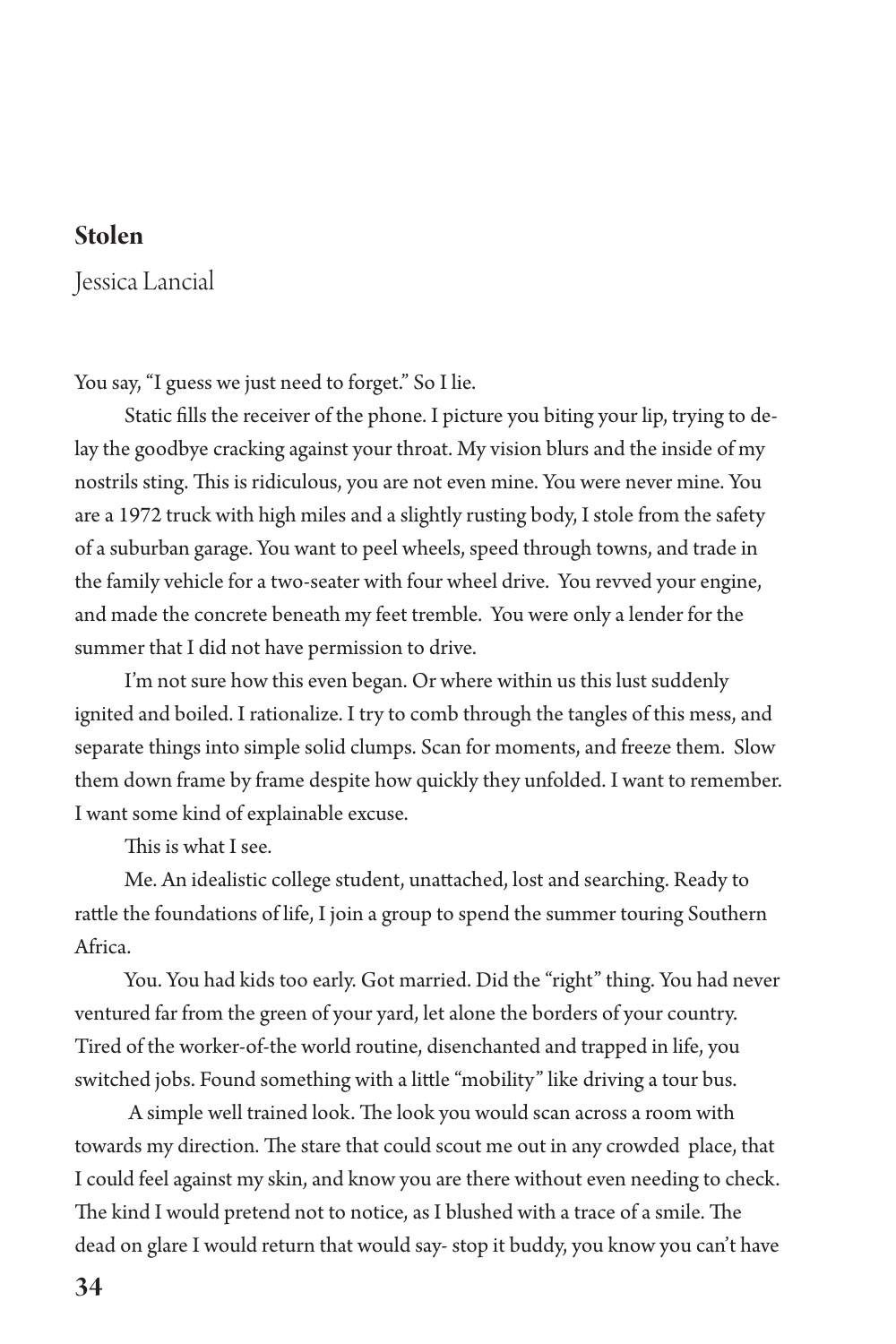## **Stolen**

Jessica Lancial

You say, "I guess we just need to forget." So I lie.

Static fills the receiver of the phone. I picture you biting your lip, trying to delay the goodbye cracking against your throat. My vision blurs and the inside of my nostrils sting. This is ridiculous, you are not even mine. You were never mine. You are a 1972 truck with high miles and a slightly rusting body, I stole from the safety of a suburban garage. You want to peel wheels, speed through towns, and trade in the family vehicle for a two-seater with four wheel drive. You revved your engine, and made the concrete beneath my feet tremble. You were only a lender for the summer that I did not have permission to drive.

I'm not sure how this even began. Or where within us this lust suddenly ignited and boiled. I rationalize. I try to comb through the tangles of this mess, and separate things into simple solid clumps. Scan for moments, and freeze them. Slow them down frame by frame despite how quickly they unfolded. I want to remember. I want some kind of explainable excuse.

This is what I see.

Me. An idealistic college student, unattached, lost and searching. Ready to rattle the foundations of life, I join a group to spend the summer touring Southern Africa.

You. You had kids too early. Got married. Did the "right" thing. You had never ventured far from the green of your yard, let alone the borders of your country. Tired of the worker-of-the world routine, disenchanted and trapped in life, you switched jobs. Found something with a little "mobility" like driving a tour bus.

 A simple well trained look. The look you would scan across a room with towards my direction. The stare that could scout me out in any crowded place, that I could feel against my skin, and know you are there without even needing to check. The kind I would pretend not to notice, as I blushed with a trace of a smile. The dead on glare I would return that would say- stop it buddy, you know you can't have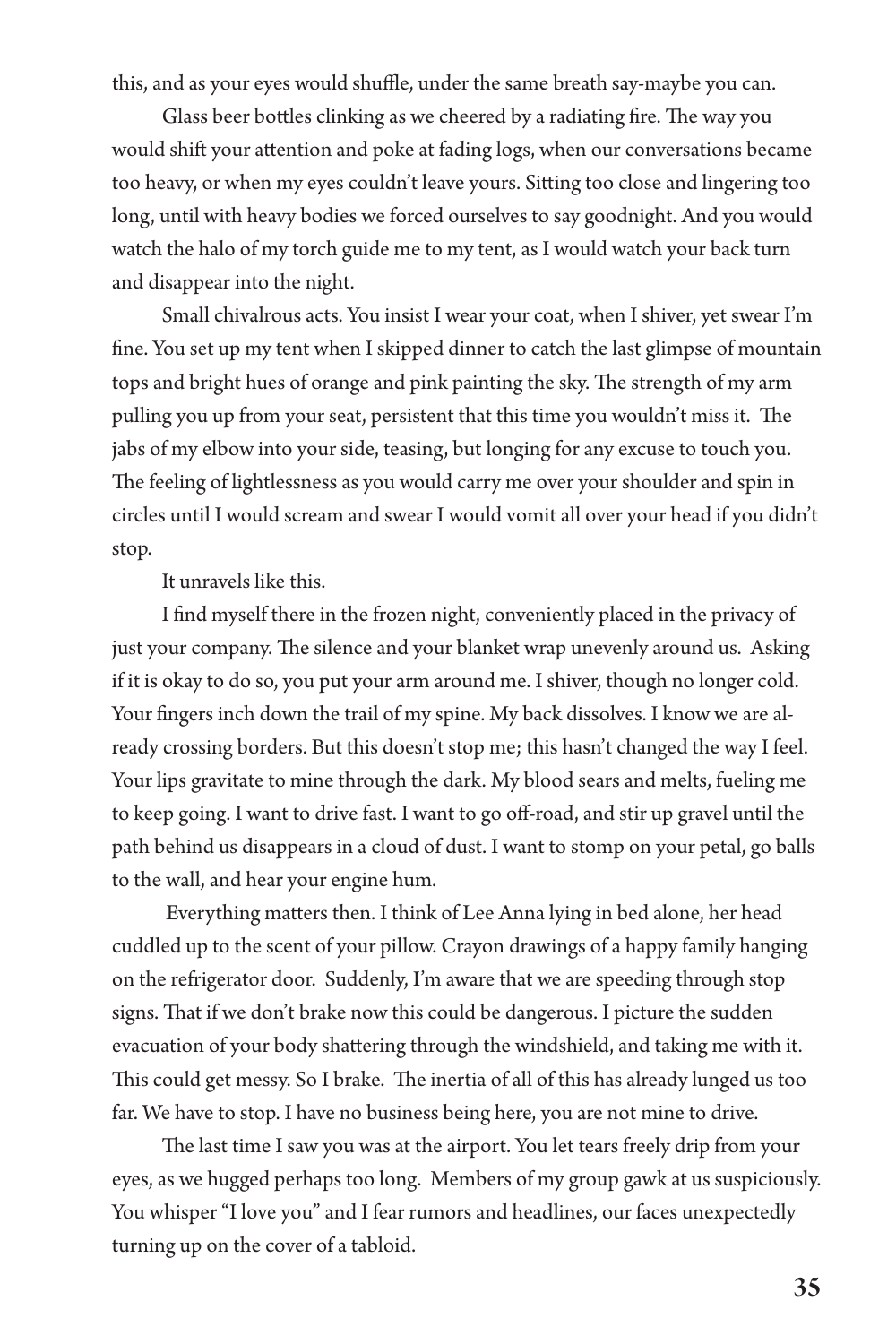this, and as your eyes would shuffle, under the same breath say-maybe you can.

Glass beer bottles clinking as we cheered by a radiating fire. The way you would shift your attention and poke at fading logs, when our conversations became too heavy, or when my eyes couldn't leave yours. Sitting too close and lingering too long, until with heavy bodies we forced ourselves to say goodnight. And you would watch the halo of my torch guide me to my tent, as I would watch your back turn and disappear into the night.

Small chivalrous acts. You insist I wear your coat, when I shiver, yet swear I'm fine. You set up my tent when I skipped dinner to catch the last glimpse of mountain tops and bright hues of orange and pink painting the sky. The strength of my arm pulling you up from your seat, persistent that this time you wouldn't miss it. The jabs of my elbow into your side, teasing, but longing for any excuse to touch you. The feeling of lightlessness as you would carry me over your shoulder and spin in circles until I would scream and swear I would vomit all over your head if you didn't stop.

It unravels like this.

I find myself there in the frozen night, conveniently placed in the privacy of just your company. The silence and your blanket wrap unevenly around us. Asking if it is okay to do so, you put your arm around me. I shiver, though no longer cold. Your fingers inch down the trail of my spine. My back dissolves. I know we are already crossing borders. But this doesn't stop me; this hasn't changed the way I feel. Your lips gravitate to mine through the dark. My blood sears and melts, fueling me to keep going. I want to drive fast. I want to go off-road, and stir up gravel until the path behind us disappears in a cloud of dust. I want to stomp on your petal, go balls to the wall, and hear your engine hum.

 Everything matters then. I think of Lee Anna lying in bed alone, her head cuddled up to the scent of your pillow. Crayon drawings of a happy family hanging on the refrigerator door. Suddenly, I'm aware that we are speeding through stop signs. That if we don't brake now this could be dangerous. I picture the sudden evacuation of your body shattering through the windshield, and taking me with it. This could get messy. So I brake. The inertia of all of this has already lunged us too far. We have to stop. I have no business being here, you are not mine to drive.

The last time I saw you was at the airport. You let tears freely drip from your eyes, as we hugged perhaps too long. Members of my group gawk at us suspiciously. You whisper "I love you" and I fear rumors and headlines, our faces unexpectedly turning up on the cover of a tabloid.